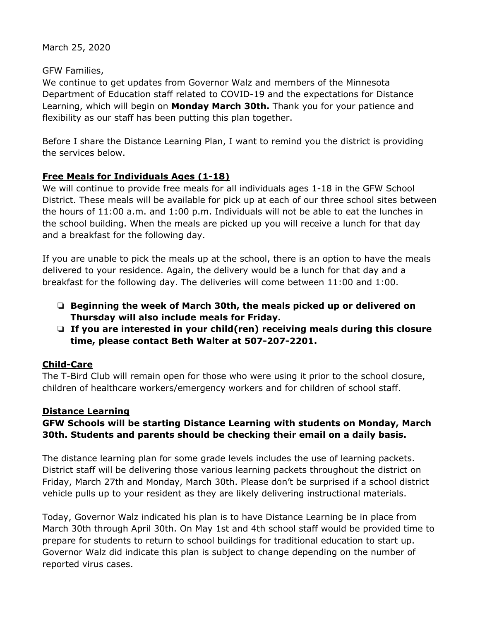March 25, 2020

### GFW Families,

We continue to get updates from Governor Walz and members of the Minnesota Department of Education staff related to COVID-19 and the expectations for Distance Learning, which will begin on **Monday March 30th.** Thank you for your patience and flexibility as our staff has been putting this plan together.

Before I share the Distance Learning Plan, I want to remind you the district is providing the services below.

# **Free Meals for Individuals Ages (1-18)**

We will continue to provide free meals for all individuals ages 1-18 in the GFW School District. These meals will be available for pick up at each of our three school sites between the hours of 11:00 a.m. and 1:00 p.m. Individuals will not be able to eat the lunches in the school building. When the meals are picked up you will receive a lunch for that day and a breakfast for the following day.

If you are unable to pick the meals up at the school, there is an option to have the meals delivered to your residence. Again, the delivery would be a lunch for that day and a breakfast for the following day. The deliveries will come between 11:00 and 1:00.

- ❏ **Beginning the week of March 30th, the meals picked up or delivered on Thursday will also include meals for Friday.**
- ❏ **If you are interested in your child(ren) receiving meals during this closure time, please contact Beth Walter at 507-207-2201.**

## **Child-Care**

The T-Bird Club will remain open for those who were using it prior to the school closure, children of healthcare workers/emergency workers and for children of school staff.

## **Distance Learning**

## **GFW Schools will be starting Distance Learning with students on Monday, March 30th. Students and parents should be checking their email on a daily basis.**

The distance learning plan for some grade levels includes the use of learning packets. District staff will be delivering those various learning packets throughout the district on Friday, March 27th and Monday, March 30th. Please don't be surprised if a school district vehicle pulls up to your resident as they are likely delivering instructional materials.

Today, Governor Walz indicated his plan is to have Distance Learning be in place from March 30th through April 30th. On May 1st and 4th school staff would be provided time to prepare for students to return to school buildings for traditional education to start up. Governor Walz did indicate this plan is subject to change depending on the number of reported virus cases.